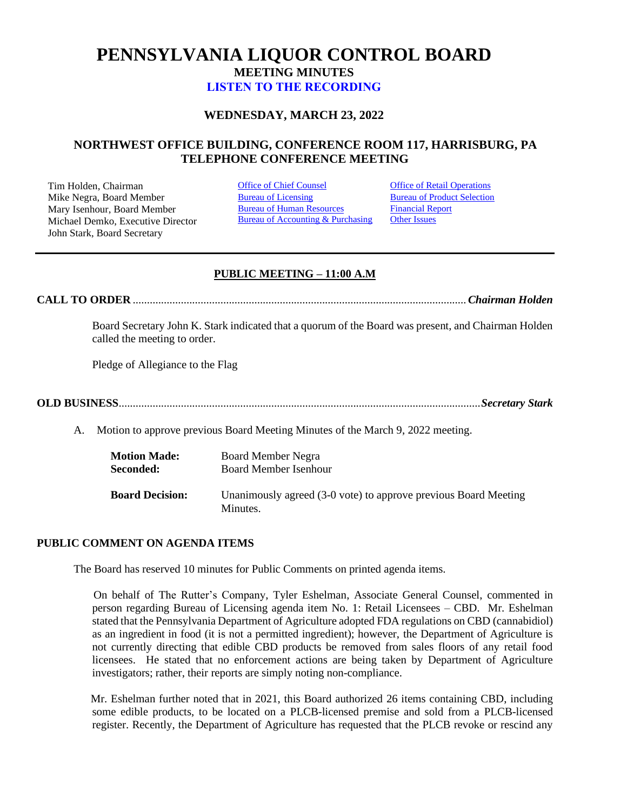# **PENNSYLVANIA LIQUOR CONTROL BOARD MEETING MINUTES [LISTEN TO THE RECORDING](https://youtu.be/pFsDJ79Mxi4)**

## **WEDNESDAY, MARCH 23, 2022**

## **NORTHWEST OFFICE BUILDING, CONFERENCE ROOM 117, HARRISBURG, PA TELEPHONE CONFERENCE MEETING**

Tim Holden, Chairman **[Office of Chief Counsel](#page-3-0)** Office [of Retail Operations](#page-11-0)<br>
Mike Negra. Board Member **Bureau of Licensing** Bureau of Product Selection Mike Negra, Board Member Mary Isenhour, Board Member Michael Demko, Executive Director John Stark, Board Secretary

[Bureau of Human Resources](#page-9-0) Bureau of Accounting & Purchasing [Financial Report](#page-10-0) **[Other Issues](#page-15-0)** 

## **PUBLIC MEETING – 11:00 A.M**

**CALL TO ORDER** ......................................................................................................................*Chairman Holden*

Board Secretary John K. Stark indicated that a quorum of the Board was present, and Chairman Holden called the meeting to order.

Pledge of Allegiance to the Flag

**OLD BUSINESS**................................................................................................................................*Secretary Stark*

A. Motion to approve previous Board Meeting Minutes of the March 9, 2022 meeting.

| <b>Motion Made:</b>    | <b>Board Member Negra</b>                                                   |
|------------------------|-----------------------------------------------------------------------------|
| Seconded:              | <b>Board Member Isenhour</b>                                                |
| <b>Board Decision:</b> | Unanimously agreed (3-0 vote) to approve previous Board Meeting<br>Minutes. |

### **PUBLIC COMMENT ON AGENDA ITEMS**

The Board has reserved 10 minutes for Public Comments on printed agenda items.

 On behalf of The Rutter's Company, Tyler Eshelman, Associate General Counsel, commented in person regarding Bureau of Licensing agenda item No. 1: Retail Licensees – CBD. Mr. Eshelman stated that the Pennsylvania Department of Agriculture adopted FDA regulations on CBD (cannabidiol) as an ingredient in food (it is not a permitted ingredient); however, the Department of Agriculture is not currently directing that edible CBD products be removed from sales floors of any retail food licensees. He stated that no enforcement actions are being taken by Department of Agriculture investigators; rather, their reports are simply noting non-compliance.

 Mr. Eshelman further noted that in 2021, this Board authorized 26 items containing CBD, including some edible products, to be located on a PLCB-licensed premise and sold from a PLCB-licensed register. Recently, the Department of Agriculture has requested that the PLCB revoke or rescind any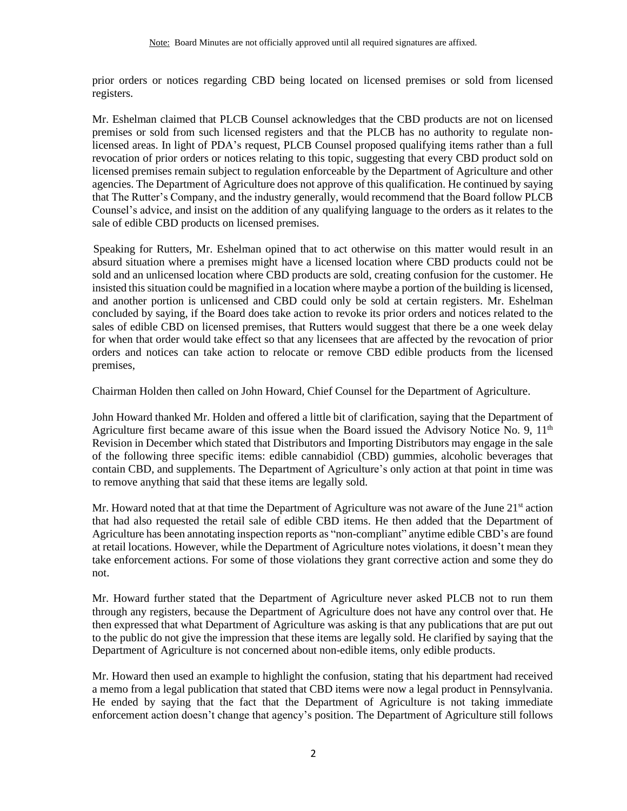prior orders or notices regarding CBD being located on licensed premises or sold from licensed registers.

Mr. Eshelman claimed that PLCB Counsel acknowledges that the CBD products are not on licensed premises or sold from such licensed registers and that the PLCB has no authority to regulate nonlicensed areas. In light of PDA's request, PLCB Counsel proposed qualifying items rather than a full revocation of prior orders or notices relating to this topic, suggesting that every CBD product sold on licensed premises remain subject to regulation enforceable by the Department of Agriculture and other agencies. The Department of Agriculture does not approve of this qualification. He continued by saying that The Rutter's Company, and the industry generally, would recommend that the Board follow PLCB Counsel's advice, and insist on the addition of any qualifying language to the orders as it relates to the sale of edible CBD products on licensed premises.

Speaking for Rutters, Mr. Eshelman opined that to act otherwise on this matter would result in an absurd situation where a premises might have a licensed location where CBD products could not be sold and an unlicensed location where CBD products are sold, creating confusion for the customer. He insisted this situation could be magnified in a location where maybe a portion of the building is licensed, and another portion is unlicensed and CBD could only be sold at certain registers. Mr. Eshelman concluded by saying, if the Board does take action to revoke its prior orders and notices related to the sales of edible CBD on licensed premises, that Rutters would suggest that there be a one week delay for when that order would take effect so that any licensees that are affected by the revocation of prior orders and notices can take action to relocate or remove CBD edible products from the licensed premises,

Chairman Holden then called on John Howard, Chief Counsel for the Department of Agriculture.

John Howard thanked Mr. Holden and offered a little bit of clarification, saying that the Department of Agriculture first became aware of this issue when the Board issued the Advisory Notice No. 9,  $11<sup>th</sup>$ Revision in December which stated that Distributors and Importing Distributors may engage in the sale of the following three specific items: edible cannabidiol (CBD) gummies, alcoholic beverages that contain CBD, and supplements. The Department of Agriculture's only action at that point in time was to remove anything that said that these items are legally sold.

Mr. Howard noted that at that time the Department of Agriculture was not aware of the June  $21<sup>st</sup>$  action that had also requested the retail sale of edible CBD items. He then added that the Department of Agriculture has been annotating inspection reports as "non-compliant" anytime edible CBD's are found at retail locations. However, while the Department of Agriculture notes violations, it doesn't mean they take enforcement actions. For some of those violations they grant corrective action and some they do not.

Mr. Howard further stated that the Department of Agriculture never asked PLCB not to run them through any registers, because the Department of Agriculture does not have any control over that. He then expressed that what Department of Agriculture was asking is that any publications that are put out to the public do not give the impression that these items are legally sold. He clarified by saying that the Department of Agriculture is not concerned about non-edible items, only edible products.

Mr. Howard then used an example to highlight the confusion, stating that his department had received a memo from a legal publication that stated that CBD items were now a legal product in Pennsylvania. He ended by saying that the fact that the Department of Agriculture is not taking immediate enforcement action doesn't change that agency's position. The Department of Agriculture still follows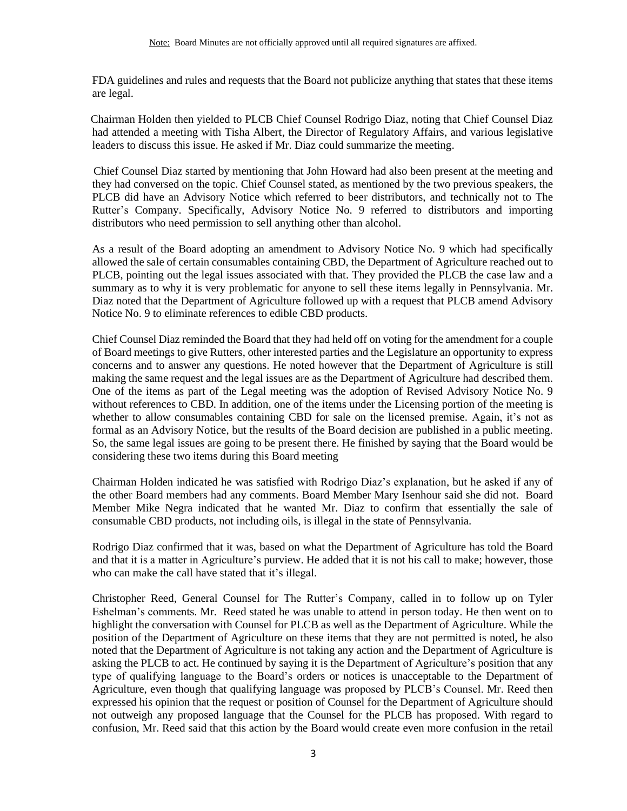FDA guidelines and rules and requests that the Board not publicize anything that states that these items are legal.

 Chairman Holden then yielded to PLCB Chief Counsel Rodrigo Diaz, noting that Chief Counsel Diaz had attended a meeting with Tisha Albert, the Director of Regulatory Affairs, and various legislative leaders to discuss this issue. He asked if Mr. Diaz could summarize the meeting.

 Chief Counsel Diaz started by mentioning that John Howard had also been present at the meeting and they had conversed on the topic. Chief Counsel stated, as mentioned by the two previous speakers, the PLCB did have an Advisory Notice which referred to beer distributors, and technically not to The Rutter's Company. Specifically, Advisory Notice No. 9 referred to distributors and importing distributors who need permission to sell anything other than alcohol.

As a result of the Board adopting an amendment to Advisory Notice No. 9 which had specifically allowed the sale of certain consumables containing CBD, the Department of Agriculture reached out to PLCB, pointing out the legal issues associated with that. They provided the PLCB the case law and a summary as to why it is very problematic for anyone to sell these items legally in Pennsylvania. Mr. Diaz noted that the Department of Agriculture followed up with a request that PLCB amend Advisory Notice No. 9 to eliminate references to edible CBD products.

Chief Counsel Diaz reminded the Board that they had held off on voting for the amendment for a couple of Board meetings to give Rutters, other interested parties and the Legislature an opportunity to express concerns and to answer any questions. He noted however that the Department of Agriculture is still making the same request and the legal issues are as the Department of Agriculture had described them. One of the items as part of the Legal meeting was the adoption of Revised Advisory Notice No. 9 without references to CBD. In addition, one of the items under the Licensing portion of the meeting is whether to allow consumables containing CBD for sale on the licensed premise. Again, it's not as formal as an Advisory Notice, but the results of the Board decision are published in a public meeting. So, the same legal issues are going to be present there. He finished by saying that the Board would be considering these two items during this Board meeting

Chairman Holden indicated he was satisfied with Rodrigo Diaz's explanation, but he asked if any of the other Board members had any comments. Board Member Mary Isenhour said she did not. Board Member Mike Negra indicated that he wanted Mr. Diaz to confirm that essentially the sale of consumable CBD products, not including oils, is illegal in the state of Pennsylvania.

Rodrigo Diaz confirmed that it was, based on what the Department of Agriculture has told the Board and that it is a matter in Agriculture's purview. He added that it is not his call to make; however, those who can make the call have stated that it's illegal.

Christopher Reed, General Counsel for The Rutter's Company, called in to follow up on Tyler Eshelman's comments. Mr. Reed stated he was unable to attend in person today. He then went on to highlight the conversation with Counsel for PLCB as well as the Department of Agriculture. While the position of the Department of Agriculture on these items that they are not permitted is noted, he also noted that the Department of Agriculture is not taking any action and the Department of Agriculture is asking the PLCB to act. He continued by saying it is the Department of Agriculture's position that any type of qualifying language to the Board's orders or notices is unacceptable to the Department of Agriculture, even though that qualifying language was proposed by PLCB's Counsel. Mr. Reed then expressed his opinion that the request or position of Counsel for the Department of Agriculture should not outweigh any proposed language that the Counsel for the PLCB has proposed. With regard to confusion, Mr. Reed said that this action by the Board would create even more confusion in the retail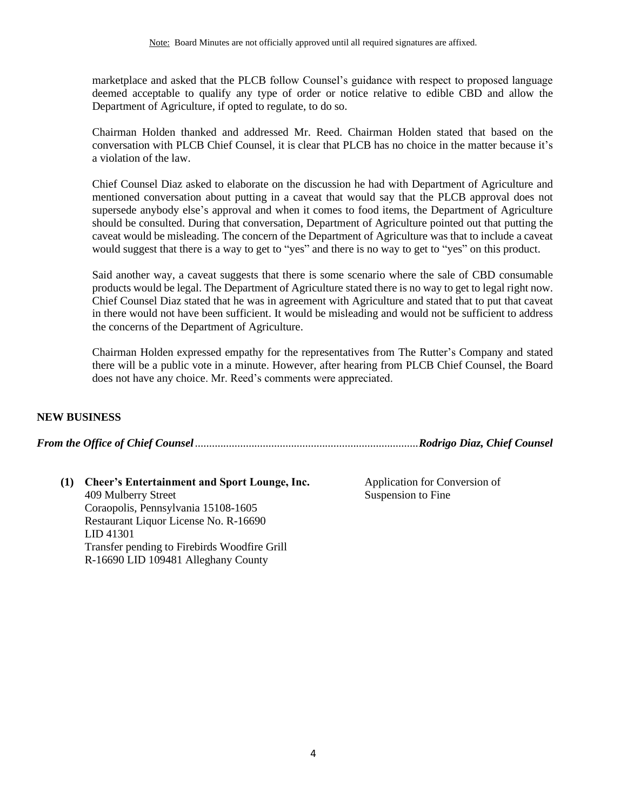marketplace and asked that the PLCB follow Counsel's guidance with respect to proposed language deemed acceptable to qualify any type of order or notice relative to edible CBD and allow the Department of Agriculture, if opted to regulate, to do so.

Chairman Holden thanked and addressed Mr. Reed. Chairman Holden stated that based on the conversation with PLCB Chief Counsel, it is clear that PLCB has no choice in the matter because it's a violation of the law.

Chief Counsel Diaz asked to elaborate on the discussion he had with Department of Agriculture and mentioned conversation about putting in a caveat that would say that the PLCB approval does not supersede anybody else's approval and when it comes to food items, the Department of Agriculture should be consulted. During that conversation, Department of Agriculture pointed out that putting the caveat would be misleading. The concern of the Department of Agriculture was that to include a caveat would suggest that there is a way to get to "yes" and there is no way to get to "yes" on this product.

Said another way, a caveat suggests that there is some scenario where the sale of CBD consumable products would be legal. The Department of Agriculture stated there is no way to get to legal right now. Chief Counsel Diaz stated that he was in agreement with Agriculture and stated that to put that caveat in there would not have been sufficient. It would be misleading and would not be sufficient to address the concerns of the Department of Agriculture.

Chairman Holden expressed empathy for the representatives from The Rutter's Company and stated there will be a public vote in a minute. However, after hearing from PLCB Chief Counsel, the Board does not have any choice. Mr. Reed's comments were appreciated.

## **NEW BUSINESS**

<span id="page-3-0"></span>*From the Office of Chief Counsel*...............................................................................*Rodrigo Diaz, Chief Counsel*

**(1) Cheer's Entertainment and Sport Lounge, Inc.** 409 Mulberry Street Coraopolis, Pennsylvania 15108-1605 Restaurant Liquor License No. R-16690 LID 41301 Transfer pending to Firebirds Woodfire Grill R-16690 LID 109481 Alleghany County

Application for Conversion of Suspension to Fine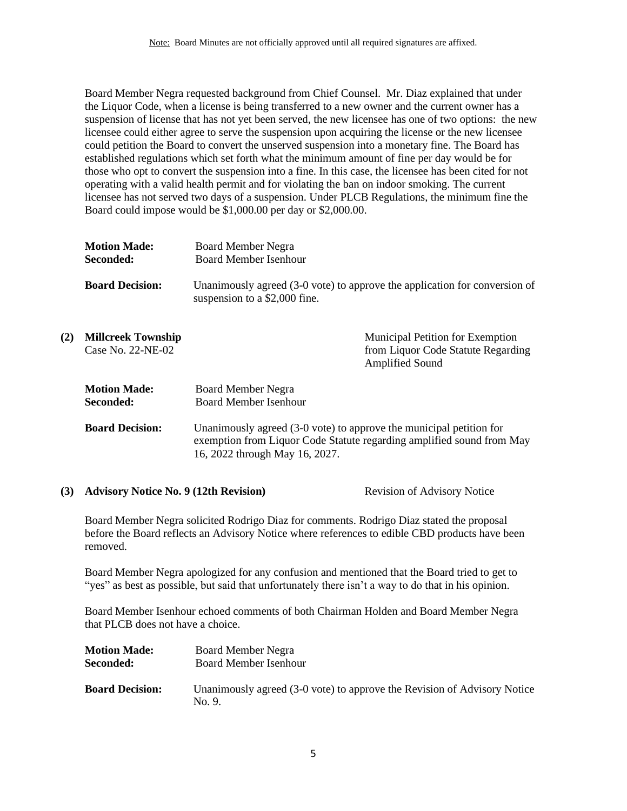Board Member Negra requested background from Chief Counsel. Mr. Diaz explained that under the Liquor Code, when a license is being transferred to a new owner and the current owner has a suspension of license that has not yet been served, the new licensee has one of two options: the new licensee could either agree to serve the suspension upon acquiring the license or the new licensee could petition the Board to convert the unserved suspension into a monetary fine. The Board has established regulations which set forth what the minimum amount of fine per day would be for those who opt to convert the suspension into a fine. In this case, the licensee has been cited for not operating with a valid health permit and for violating the ban on indoor smoking. The current licensee has not served two days of a suspension. Under PLCB Regulations, the minimum fine the Board could impose would be \$1,000.00 per day or \$2,000.00.

|     | <b>Motion Made:</b><br>Seconded:               | <b>Board Member Negra</b><br><b>Board Member Isenhour</b>                                                                                                                      |                                                                                           |
|-----|------------------------------------------------|--------------------------------------------------------------------------------------------------------------------------------------------------------------------------------|-------------------------------------------------------------------------------------------|
|     | <b>Board Decision:</b>                         | Unanimously agreed (3-0 vote) to approve the application for conversion of<br>suspension to a \$2,000 fine.                                                                    |                                                                                           |
| (2) | <b>Millcreek Township</b><br>Case No. 22-NE-02 |                                                                                                                                                                                | Municipal Petition for Exemption<br>from Liquor Code Statute Regarding<br>Amplified Sound |
|     | <b>Motion Made:</b><br>Seconded:               | Board Member Negra<br><b>Board Member Isenhour</b>                                                                                                                             |                                                                                           |
|     | <b>Board Decision:</b>                         | Unanimously agreed (3-0 vote) to approve the municipal petition for<br>exemption from Liquor Code Statute regarding amplified sound from May<br>16, 2022 through May 16, 2027. |                                                                                           |

### **(3) Advisory Notice No. 9 (12th Revision)** Revision of Advisory Notice

Board Member Negra solicited Rodrigo Diaz for comments. Rodrigo Diaz stated the proposal before the Board reflects an Advisory Notice where references to edible CBD products have been removed.

Board Member Negra apologized for any confusion and mentioned that the Board tried to get to "yes" as best as possible, but said that unfortunately there isn't a way to do that in his opinion.

Board Member Isenhour echoed comments of both Chairman Holden and Board Member Negra that PLCB does not have a choice.

| <b>Motion Made:</b>    | Board Member Negra                                                               |
|------------------------|----------------------------------------------------------------------------------|
| Seconded:              | <b>Board Member Isenhour</b>                                                     |
| <b>Board Decision:</b> | Unanimously agreed (3-0 vote) to approve the Revision of Advisory Notice<br>No.9 |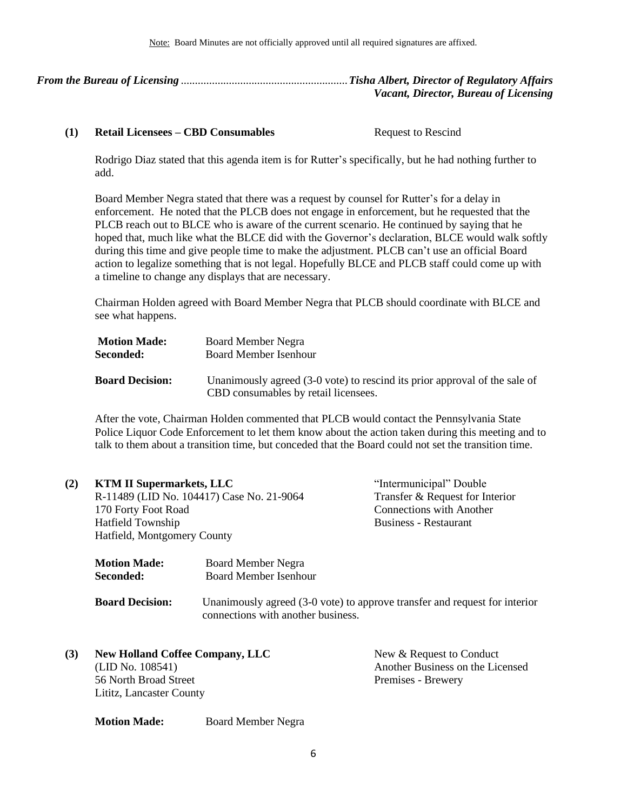<span id="page-5-0"></span>*From the Bureau of Licensing* ...........................................................*Tisha Albert, Director of Regulatory Affairs Vacant, Director, Bureau of Licensing*

### **(1) Retail Licensees – CBD Consumables** Request to Rescind

Rodrigo Diaz stated that this agenda item is for Rutter's specifically, but he had nothing further to add.

Board Member Negra stated that there was a request by counsel for Rutter's for a delay in enforcement. He noted that the PLCB does not engage in enforcement, but he requested that the PLCB reach out to BLCE who is aware of the current scenario. He continued by saying that he hoped that, much like what the BLCE did with the Governor's declaration, BLCE would walk softly during this time and give people time to make the adjustment. PLCB can't use an official Board action to legalize something that is not legal. Hopefully BLCE and PLCB staff could come up with a timeline to change any displays that are necessary.

Chairman Holden agreed with Board Member Negra that PLCB should coordinate with BLCE and see what happens.

| <b>Motion Made:</b>    | Board Member Negra                                                                                                 |
|------------------------|--------------------------------------------------------------------------------------------------------------------|
| <b>Seconded:</b>       | <b>Board Member Isenhour</b>                                                                                       |
| <b>Board Decision:</b> | Unanimously agreed (3-0 vote) to rescind its prior approval of the sale of<br>CBD consumables by retail licensees. |

After the vote, Chairman Holden commented that PLCB would contact the Pennsylvania State Police Liquor Code Enforcement to let them know about the action taken during this meeting and to talk to them about a transition time, but conceded that the Board could not set the transition time.

| (2) | <b>KTM II Supermarkets, LLC</b><br>R-11489 (LID No. 104417) Case No. 21-9064<br>170 Forty Foot Road<br><b>Hatfield Township</b><br>Hatfield, Montgomery County |                                                                                                                  | "Intermunicipal" Double<br>Transfer & Request for Interior<br><b>Connections with Another</b><br><b>Business - Restaurant</b> |  |
|-----|----------------------------------------------------------------------------------------------------------------------------------------------------------------|------------------------------------------------------------------------------------------------------------------|-------------------------------------------------------------------------------------------------------------------------------|--|
|     | <b>Motion Made:</b><br>Seconded:                                                                                                                               | Board Member Negra<br><b>Board Member Isenhour</b>                                                               |                                                                                                                               |  |
|     | <b>Board Decision:</b>                                                                                                                                         | Unanimously agreed (3-0 vote) to approve transfer and request for interior<br>connections with another business. |                                                                                                                               |  |
| (3) | <b>New Holland Coffee Company, LLC</b><br>(LID No. 108541)<br>56 North Broad Street<br>Lititz, Lancaster County                                                |                                                                                                                  | New & Request to Conduct<br>Another Business on the Licensed<br>Premises - Brewery                                            |  |

**Motion Made:** Board Member Negra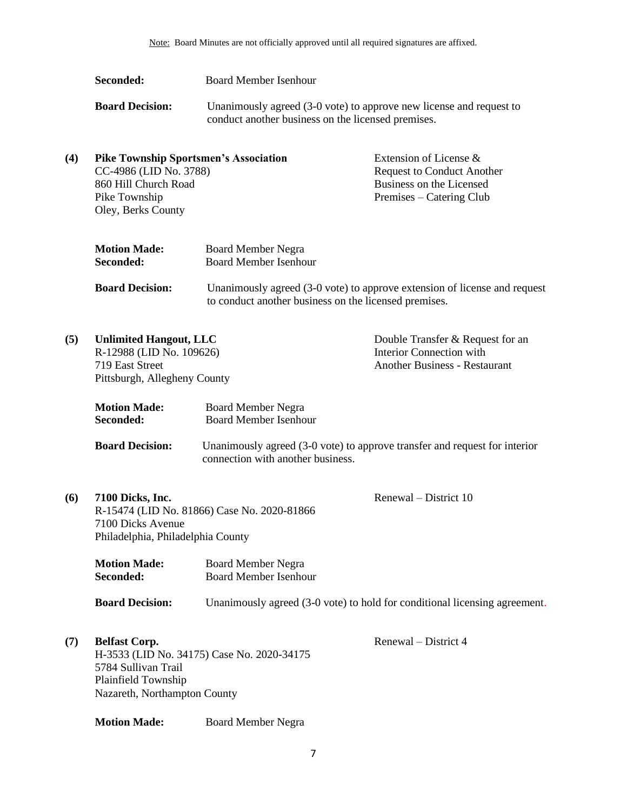| Seconded:              | Board Member Isenhour                                                                                                     |
|------------------------|---------------------------------------------------------------------------------------------------------------------------|
| <b>Board Decision:</b> | Unanimously agreed (3-0 vote) to approve new license and request to<br>conduct another business on the licensed premises. |

| $\left( 4\right)$ | <b>Pike Township Sportsmen's Association</b> | Extension of License $\&$         |
|-------------------|----------------------------------------------|-----------------------------------|
|                   | CC-4986 (LID No. 3788)                       | <b>Request to Conduct Another</b> |
|                   | 860 Hill Church Road                         | Business on the Licensed          |
|                   | Pike Township                                | Premises – Catering Club          |
|                   | Oley, Berks County                           |                                   |
|                   |                                              |                                   |

| <b>Motion Made:</b> | <b>Board Member Negra</b> |
|---------------------|---------------------------|
| <b>Seconded:</b>    | Board Member Isenhour     |
|                     |                           |

| <b>Board Decision:</b> | Unanimously agreed (3-0 vote) to approve extension of license and request |
|------------------------|---------------------------------------------------------------------------|
|                        | to conduct another business on the licensed premises.                     |

| (5) | <b>Unlimited Hangout, LLC</b> |                              | Double Transfer & Request for an                                           |  |
|-----|-------------------------------|------------------------------|----------------------------------------------------------------------------|--|
|     | R-12988 (LID No. 109626)      |                              | Interior Connection with                                                   |  |
|     | 719 East Street               |                              | <b>Another Business - Restaurant</b>                                       |  |
|     | Pittsburgh, Allegheny County  |                              |                                                                            |  |
|     |                               |                              |                                                                            |  |
|     | <b>Motion Made:</b>           | <b>Board Member Negra</b>    |                                                                            |  |
|     | Seconded:                     | <b>Board Member Isenhour</b> |                                                                            |  |
|     | <b>Board Decision:</b>        |                              | Unanimously agreed (3-0 vote) to approve transfer and request for interior |  |

| connection with another business. |  |
|-----------------------------------|--|
|                                   |  |

| (6) | 7100 Dicks, Inc.                            |  |
|-----|---------------------------------------------|--|
|     | R-15474 (LID No. 81866) Case No. 2020-81866 |  |
|     | 7100 Dicks Avenue                           |  |
|     | Philadelphia, Philadelphia County           |  |

Renewal – District 10

Renewal – District 4

| <b>Motion Made:</b> | <b>Board Member Negra</b>    |
|---------------------|------------------------------|
| Seconded:           | <b>Board Member Isenhour</b> |

**Board Decision:** Unanimously agreed (3-0 vote) to hold for conditional licensing agreement.

**(7) Belfast Corp.** H-3533 (LID No. 34175) Case No. 2020-34175 5784 Sullivan Trail Plainfield Township Nazareth, Northampton County

**Motion Made:** Board Member Negra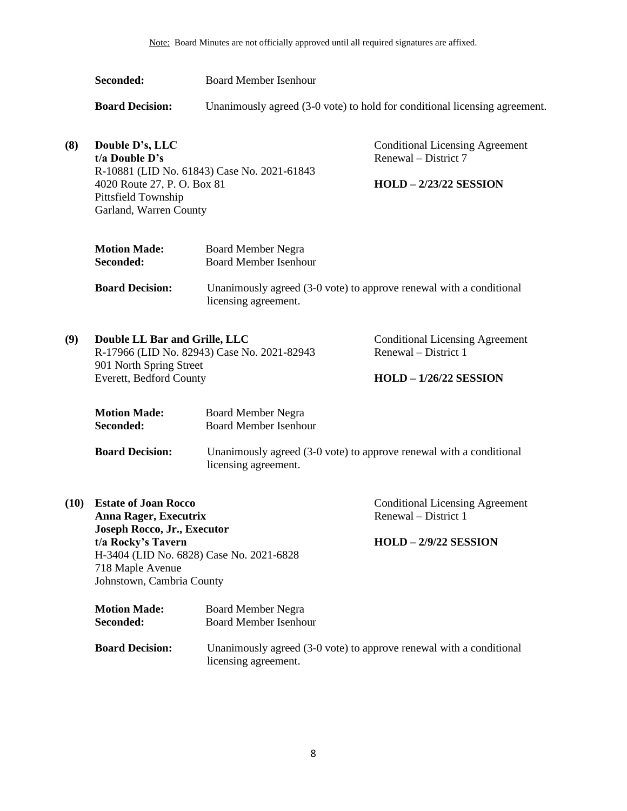**Seconded:** Board Member Isenhour

**Board Decision:** Unanimously agreed (3-0 vote) to hold for conditional licensing agreement.

**(8) Double D's, LLC t/a Double D's** R-10881 (LID No. 61843) Case No. 2021-61843 4020 Route 27, P. O. Box 81 Pittsfield Township Garland, Warren County

Conditional Licensing Agreement Renewal – District 7

### **HOLD – 2/23/22 SESSION**

| <b>Motion Made:</b> | <b>Board Member Negra</b>    |
|---------------------|------------------------------|
| <b>Seconded:</b>    | <b>Board Member Isenhour</b> |

**Board Decision:** Unanimously agreed (3-0 vote) to approve renewal with a conditional licensing agreement.

| (9) | Double LL Bar and Grille, LLC               | <b>Conditional Licensing Agreement</b> |
|-----|---------------------------------------------|----------------------------------------|
|     | R-17966 (LID No. 82943) Case No. 2021-82943 | Renewal – District 1                   |
|     | 901 North Spring Street                     |                                        |
|     | Everett, Bedford County                     | $HOLD - 1/26/22$ SESSION               |
|     |                                             |                                        |

| <b>Motion Made:</b>    | Board Member Negra                                                  |
|------------------------|---------------------------------------------------------------------|
| Seconded:              | Board Member Isenhour                                               |
| <b>Board Decision:</b> | Unanimously agreed (3-0 vote) to approve renewal with a conditional |

| licensing agreement. |  |
|----------------------|--|
|                      |  |

**(10) Estate of Joan Rocco Anna Rager, Executrix Joseph Rocco, Jr., Executor t/a Rocky's Tavern** H-3404 (LID No. 6828) Case No. 2021-6828 718 Maple Avenue Johnstown, Cambria County

Conditional Licensing Agreement Renewal – District 1

## **HOLD – 2/9/22 SESSION**

| <b>Motion Made:</b>    | Board Member Negra                                                                          |
|------------------------|---------------------------------------------------------------------------------------------|
| <b>Seconded:</b>       | <b>Board Member Isenhour</b>                                                                |
| <b>Board Decision:</b> | Unanimously agreed (3-0 vote) to approve renewal with a conditional<br>licensing agreement. |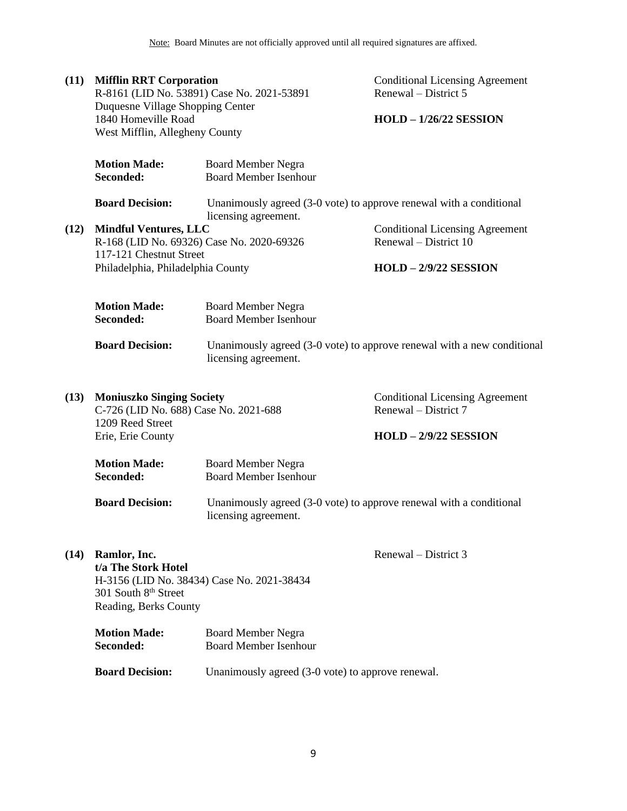# **(11) Mifflin RRT Corporation**

R-8161 (LID No. 53891) Case No. 2021-53891 Duquesne Village Shopping Center 1840 Homeville Road West Mifflin, Allegheny County

Conditional Licensing Agreement Renewal – District 5

## **HOLD – 1/26/22 SESSION**

| Unanimously agreed (3-0 vote) to approve renewal with a conditional     |
|-------------------------------------------------------------------------|
|                                                                         |
| <b>Conditional Licensing Agreement</b>                                  |
|                                                                         |
| Unanimously agreed (3-0 vote) to approve renewal with a new conditional |
| <b>Conditional Licensing Agreement</b>                                  |
|                                                                         |
|                                                                         |
| Unanimously agreed (3-0 vote) to approve renewal with a conditional     |
|                                                                         |
|                                                                         |
|                                                                         |
|                                                                         |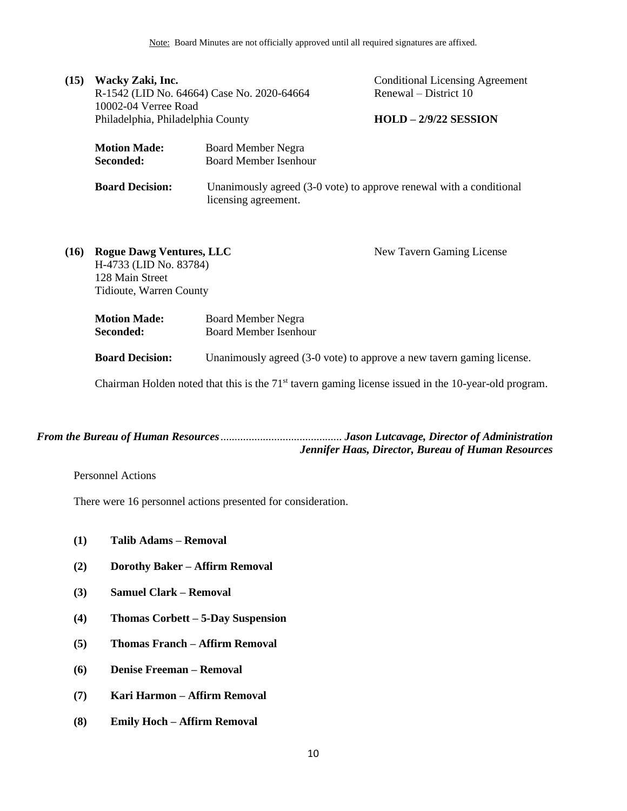| (15) | Wacky Zaki, Inc.<br>R-1542 (LID No. 64664) Case No. 2020-64664<br>10002-04 Verree Road                  |                                                           | <b>Conditional Licensing Agreement</b><br>Renewal – District 10                                        |  |
|------|---------------------------------------------------------------------------------------------------------|-----------------------------------------------------------|--------------------------------------------------------------------------------------------------------|--|
|      | Philadelphia, Philadelphia County                                                                       |                                                           | $HOLD - 2/9/22$ SESSION                                                                                |  |
|      | <b>Motion Made:</b>                                                                                     | Board Member Negra                                        |                                                                                                        |  |
|      | Seconded:                                                                                               | <b>Board Member Isenhour</b>                              |                                                                                                        |  |
|      | <b>Board Decision:</b>                                                                                  | licensing agreement.                                      | Unanimously agreed (3-0 vote) to approve renewal with a conditional                                    |  |
| (16) | <b>Rogue Dawg Ventures, LLC</b><br>H-4733 (LID No. 83784)<br>128 Main Street<br>Tidioute, Warren County |                                                           | New Tavern Gaming License                                                                              |  |
|      | <b>Motion Made:</b><br>Seconded:                                                                        | <b>Board Member Negra</b><br><b>Board Member Isenhour</b> |                                                                                                        |  |
|      | <b>Board Decision:</b>                                                                                  |                                                           | Unanimously agreed (3-0 vote) to approve a new tavern gaming license.                                  |  |
|      |                                                                                                         |                                                           | Chairman Holden noted that this is the $71st$ tavern gaming license issued in the 10-year-old program. |  |

*From the Bureau of Human Resources*........................................... *Jason Lutcavage, Director of Administration*

*Jennifer Haas, Director, Bureau of Human Resources*

<span id="page-9-0"></span>Personnel Actions

There were 16 personnel actions presented for consideration.

- **(1) Talib Adams – Removal**
- **(2) Dorothy Baker – Affirm Removal**
- **(3) Samuel Clark – Removal**
- **(4) Thomas Corbett – 5-Day Suspension**
- **(5) Thomas Franch – Affirm Removal**
- **(6) Denise Freeman – Removal**
- **(7) Kari Harmon – Affirm Removal**
- **(8) Emily Hoch – Affirm Removal**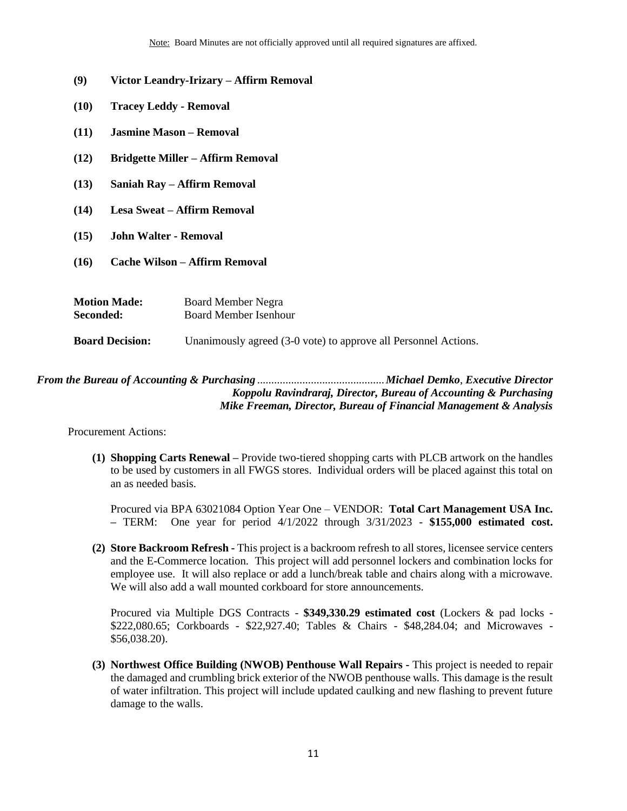- **(9) Victor Leandry-Irizary – Affirm Removal**
- **(10) Tracey Leddy - Removal**
- **(11) Jasmine Mason – Removal**
- **(12) Bridgette Miller – Affirm Removal**
- **(13) Saniah Ray – Affirm Removal**
- **(14) Lesa Sweat – Affirm Removal**
- **(15) John Walter - Removal**
- **(16) Cache Wilson – Affirm Removal**
- **Motion Made:** Board Member Negra **Seconded:** Board Member Isenhour **Board Decision:** Unanimously agreed (3-0 vote) to approve all Personnel Actions.

## <span id="page-10-0"></span>*From the Bureau of Accounting & Purchasing* .............................................*Michael Demko*, *Executive Director Koppolu Ravindraraj, Director, Bureau of Accounting & Purchasing Mike Freeman, Director, Bureau of Financial Management & Analysis*

Procurement Actions:

**(1) Shopping Carts Renewal –** Provide two-tiered shopping carts with PLCB artwork on the handles to be used by customers in all FWGS stores. Individual orders will be placed against this total on an as needed basis.

Procured via BPA 63021084 Option Year One – VENDOR: **Total Cart Management USA Inc. –** TERM: One year for period 4/1/2022 through 3/31/2023 - **\$155,000 estimated cost.** 

**(2) Store Backroom Refresh -** This project is a backroom refresh to all stores, licensee service centers and the E-Commerce location. This project will add personnel lockers and combination locks for employee use. It will also replace or add a lunch/break table and chairs along with a microwave. We will also add a wall mounted corkboard for store announcements.

Procured via Multiple DGS Contracts - **\$349,330.29 estimated cost** (Lockers & pad locks - \$222,080.65; Corkboards - \$22,927.40; Tables & Chairs - \$48,284.04; and Microwaves - \$56,038.20).

**(3) Northwest Office Building (NWOB) Penthouse Wall Repairs -** This project is needed to repair the damaged and crumbling brick exterior of the NWOB penthouse walls. This damage is the result of water infiltration. This project will include updated caulking and new flashing to prevent future damage to the walls.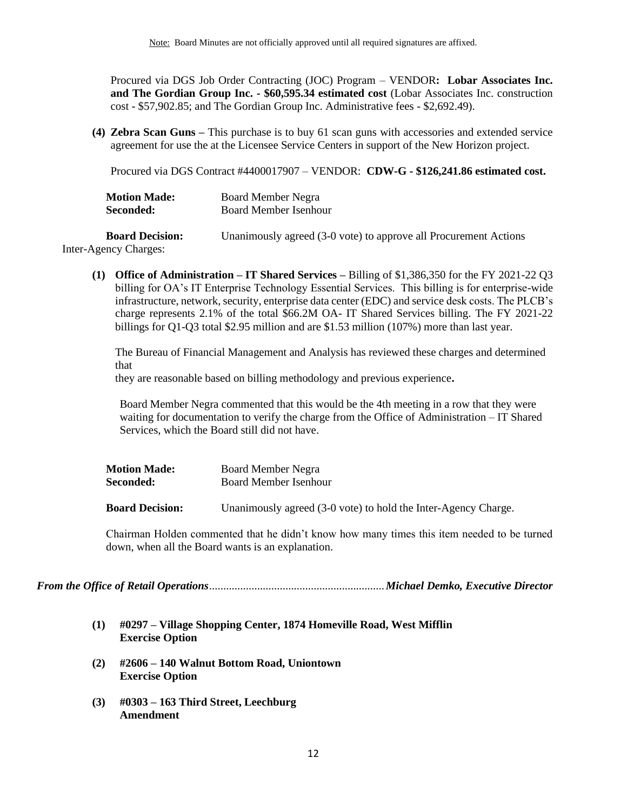Procured via DGS Job Order Contracting (JOC) Program – VENDOR**: Lobar Associates Inc. and The Gordian Group Inc. - \$60,595.34 estimated cost** (Lobar Associates Inc. construction cost - \$57,902.85; and The Gordian Group Inc. Administrative fees - \$2,692.49).

**(4) Zebra Scan Guns –** This purchase is to buy 61 scan guns with accessories and extended service agreement for use the at the Licensee Service Centers in support of the New Horizon project.

Procured via DGS Contract #4400017907 – VENDOR: **CDW-G - \$126,241.86 estimated cost.** 

| <b>Motion Made:</b> | <b>Board Member Negra</b>    |
|---------------------|------------------------------|
| Seconded:           | <b>Board Member Isenhour</b> |

**Board Decision:** Unanimously agreed (3-0 vote) to approve all Procurement Actions Inter-Agency Charges:

**(1) Office of Administration – IT Shared Services –** Billing of \$1,386,350 for the FY 2021-22 Q3 billing for OA's IT Enterprise Technology Essential Services. This billing is for enterprise-wide infrastructure, network, security, enterprise data center (EDC) and service desk costs. The PLCB's charge represents 2.1% of the total \$66.2M OA- IT Shared Services billing. The FY 2021-22

The Bureau of Financial Management and Analysis has reviewed these charges and determined that

billings for Q1-Q3 total \$2.95 million and are \$1.53 million (107%) more than last year.

they are reasonable based on billing methodology and previous experience**.**

Board Member Negra commented that this would be the 4th meeting in a row that they were waiting for documentation to verify the charge from the Office of Administration – IT Shared Services, which the Board still did not have.

| <b>Motion Made:</b>    | <b>Board Member Negra</b>                                      |  |
|------------------------|----------------------------------------------------------------|--|
| Seconded:              | Board Member Isenhour                                          |  |
| <b>Board Decision:</b> | Unanimously agreed (3-0 vote) to hold the Inter-Agency Charge. |  |

Chairman Holden commented that he didn't know how many times this item needed to be turned down, when all the Board wants is an explanation.

<span id="page-11-0"></span>*From the Office of Retail Operations*..............................................................*Michael Demko, Executive Director*

- **(1) #0297 – Village Shopping Center, 1874 Homeville Road, West Mifflin Exercise Option**
- **(2) #2606 – 140 Walnut Bottom Road, Uniontown Exercise Option**
- **(3) #0303 – 163 Third Street, Leechburg Amendment**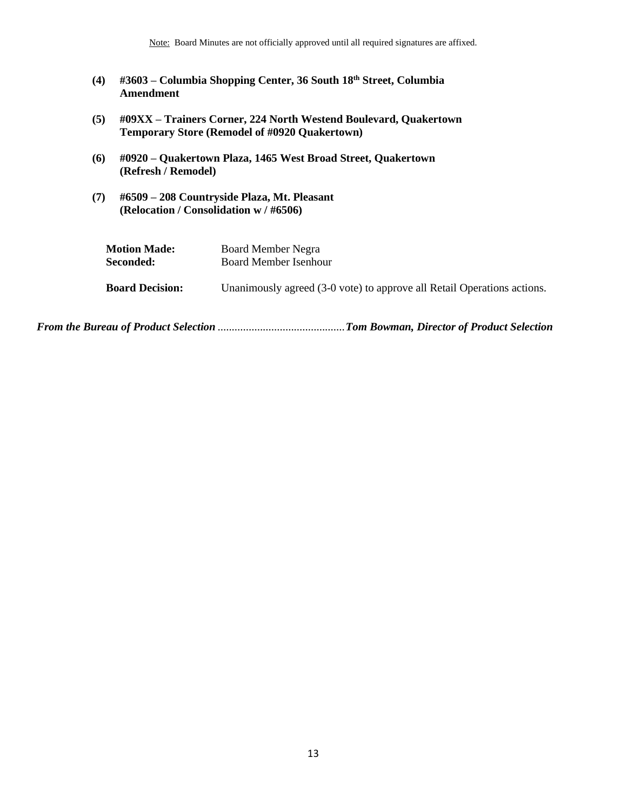Note: Board Minutes are not officially approved until all required signatures are affixed.

- **(4) #3603 – Columbia Shopping Center, 36 South 18th Street, Columbia Amendment**
- **(5) #09XX – Trainers Corner, 224 North Westend Boulevard, Quakertown Temporary Store (Remodel of #0920 Quakertown)**
- **(6) #0920 – Quakertown Plaza, 1465 West Broad Street, Quakertown (Refresh / Remodel)**
- **(7) #6509 – 208 Countryside Plaza, Mt. Pleasant (Relocation / Consolidation w / #6506)**

| <b>Motion Made:</b>    | Board Member Negra                                                      |
|------------------------|-------------------------------------------------------------------------|
| Seconded:              | Board Member Isenhour                                                   |
| <b>Board Decision:</b> | Unanimously agreed (3-0 vote) to approve all Retail Operations actions. |

*From the Bureau of Product Selection* .............................................*Tom Bowman, Director of Product Selection*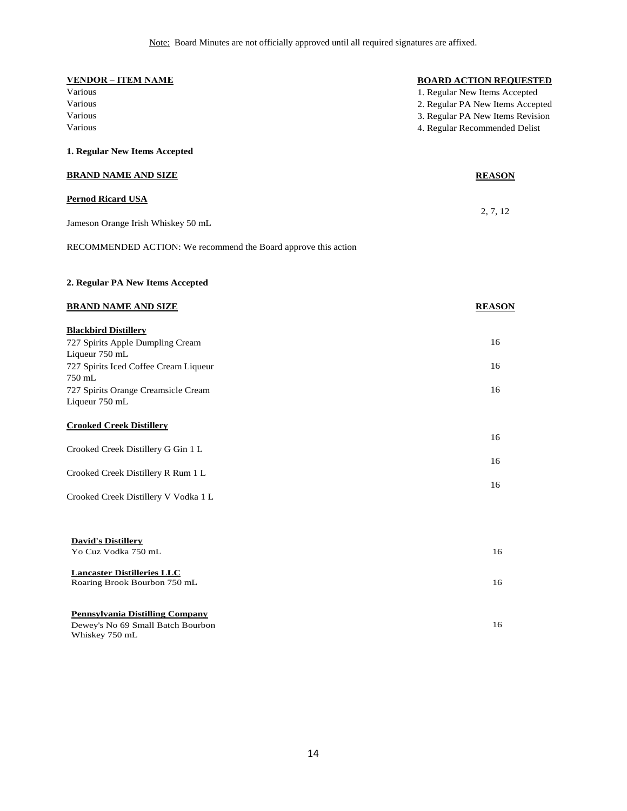| <b>VENDOR - ITEM NAME</b>                                      | <b>BOARD ACTION REQUESTED</b>    |
|----------------------------------------------------------------|----------------------------------|
| Various                                                        | 1. Regular New Items Accepted    |
| Various                                                        | 2. Regular PA New Items Accepted |
| Various                                                        | 3. Regular PA New Items Revision |
| Various                                                        | 4. Regular Recommended Delist    |
| 1. Regular New Items Accepted                                  |                                  |
| <b>BRAND NAME AND SIZE</b>                                     | <b>REASON</b>                    |
| <b>Pernod Ricard USA</b>                                       |                                  |
| Jameson Orange Irish Whiskey 50 mL                             | 2, 7, 12                         |
| RECOMMENDED ACTION: We recommend the Board approve this action |                                  |
| 2. Regular PA New Items Accepted                               |                                  |
| <b>BRAND NAME AND SIZE</b>                                     | <b>REASON</b>                    |
| <b>Blackbird Distillery</b>                                    |                                  |
| 727 Spirits Apple Dumpling Cream                               | 16                               |
| Liqueur 750 mL                                                 |                                  |
| 727 Spirits Iced Coffee Cream Liqueur                          | 16                               |
| 750 mL<br>727 Spirits Orange Creamsicle Cream                  | 16                               |
| Liqueur 750 mL                                                 |                                  |
| <b>Crooked Creek Distillery</b>                                | 16                               |
| Crooked Creek Distillery G Gin 1 L                             |                                  |
|                                                                | 16                               |
| Crooked Creek Distillery R Rum 1 L                             |                                  |
|                                                                | 16                               |
| Crooked Creek Distillery V Vodka 1 L                           |                                  |
| <b>David's Distillery</b>                                      |                                  |
| Yo Cuz Vodka 750 mL                                            | 16                               |
| <b>Lancaster Distilleries LLC</b>                              |                                  |
| Roaring Brook Bourbon 750 mL                                   | 16                               |
| <b>Pennsylvania Distilling Company</b>                         |                                  |
| Dewey's No 69 Small Batch Bourbon<br>Whiskey 750 mL            | 16                               |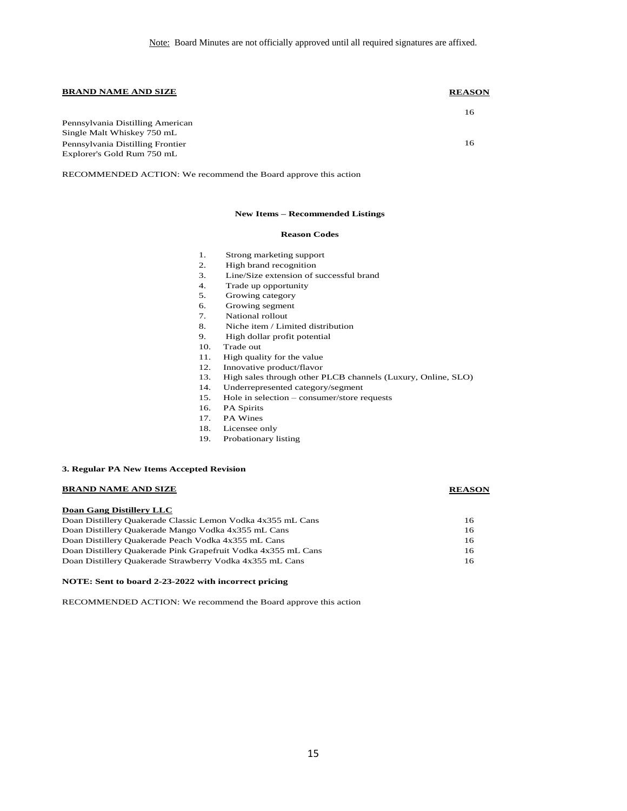### **BRAND NAME AND SIZE REASON**

|                                  | 16 |
|----------------------------------|----|
| Pennsylvania Distilling American |    |
| Single Malt Whiskey 750 mL       |    |
| Pennsylvania Distilling Frontier | 16 |
| Explorer's Gold Rum 750 mL       |    |

RECOMMENDED ACTION: We recommend the Board approve this action

### **New Items – Recommended Listings**

### **Reason Codes**

- 1. Strong marketing support
- 2. High brand recognition
- 3. Line/Size extension of successful brand
- 4. Trade up opportunity
- 5. Growing category
- 6. Growing segment
- 7. National rollout
- 8. Niche item / Limited distribution
- 9. High dollar profit potential
- 10. Trade out
- 11. High quality for the value
- 12. Innovative product/flavor
- 13. High sales through other PLCB channels (Luxury, Online, SLO)
- 14. Underrepresented category/segment
- 15. Hole in selection consumer/store requests
- 16. PA Spirits
- 17. PA Wines
- 18. Licensee only
- 19. Probationary listing

### **3. Regular PA New Items Accepted Revision**

### **BRAND NAME AND SIZE REASON**

### **Doan Gang Distillery LLC**

| Doan Gang District v LLC                                      |     |
|---------------------------------------------------------------|-----|
| Doan Distillery Quakerade Classic Lemon Vodka 4x355 mL Cans   | 16. |
| Doan Distillery Quakerade Mango Vodka 4x355 mL Cans           | 16  |
| Doan Distillery Quakerade Peach Vodka 4x355 mL Cans           | 16  |
| Doan Distillery Quakerade Pink Grapefruit Vodka 4x355 mL Cans | 16. |
| Doan Distillery Quakerade Strawberry Vodka 4x355 mL Cans      | 16  |

### **NOTE: Sent to board 2-23-2022 with incorrect pricing**

RECOMMENDED ACTION: We recommend the Board approve this action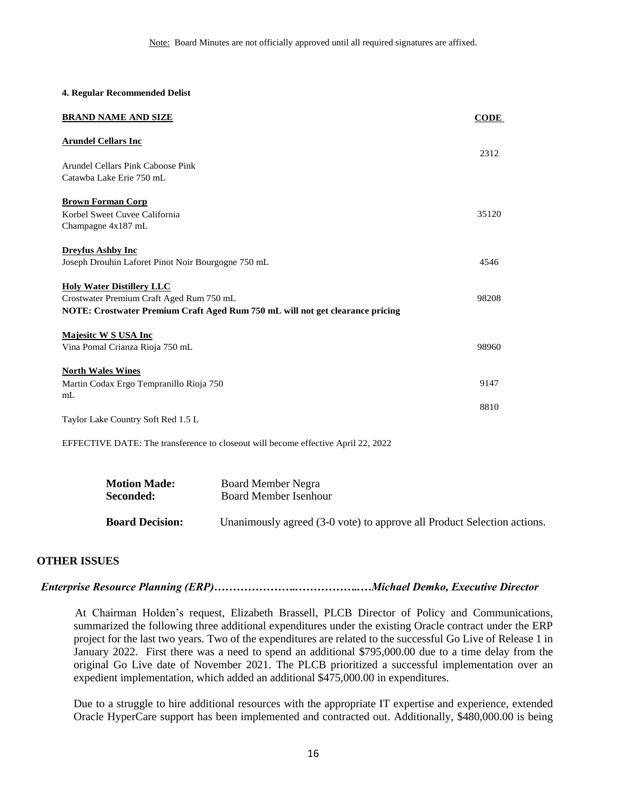### **4. Regular Recommended Delist**

| <b>BRAND NAME AND SIZE</b>                                                    | <b>CODE</b> |
|-------------------------------------------------------------------------------|-------------|
| <b>Arundel Cellars Inc</b>                                                    | 2312        |
| Arundel Cellars Pink Caboose Pink<br>Catawba Lake Erie 750 mL                 |             |
| <b>Brown Forman Corp</b>                                                      |             |
| Korbel Sweet Cuvee California<br>Champagne 4x187 mL                           | 35120       |
| <b>Dreyfus Ashby Inc</b>                                                      | 4546        |
| Joseph Drouhin Laforet Pinot Noir Bourgogne 750 mL                            |             |
| <b>Holy Water Distillery LLC</b><br>Crostwater Premium Craft Aged Rum 750 mL  | 98208       |
| NOTE: Crostwater Premium Craft Aged Rum 750 mL will not get clearance pricing |             |
| <b>Majesite W S USA Inc</b><br>Vina Pomal Crianza Rioja 750 mL                | 98960       |
| <b>North Wales Wines</b>                                                      |             |
| Martin Codax Ergo Tempranillo Rioja 750<br>m <sub>L</sub>                     | 9147        |
| Taylor Lake Country Soft Red 1.5 L                                            | 8810        |

EFFECTIVE DATE: The transference to closeout will become effective April 22, 2022

<span id="page-15-0"></span>

| <b>Motion Made:</b>    | <b>Board Member Negra</b>                                               |
|------------------------|-------------------------------------------------------------------------|
| <b>Seconded:</b>       | Board Member Isenhour                                                   |
| <b>Board Decision:</b> | Unanimously agreed (3-0 vote) to approve all Product Selection actions. |

## **OTHER ISSUES**

### *Enterprise Resource Planning (ERP)…………………..……………..…Michael Demko, Executive Director*

At Chairman Holden's request, Elizabeth Brassell, PLCB Director of Policy and Communications, summarized the following three additional expenditures under the existing Oracle contract under the ERP project for the last two years. Two of the expenditures are related to the successful Go Live of Release 1 in January 2022. First there was a need to spend an additional \$795,000.00 due to a time delay from the original Go Live date of November 2021. The PLCB prioritized a successful implementation over an expedient implementation, which added an additional \$475,000.00 in expenditures.

Due to a struggle to hire additional resources with the appropriate IT expertise and experience, extended Oracle HyperCare support has been implemented and contracted out. Additionally, \$480,000.00 is being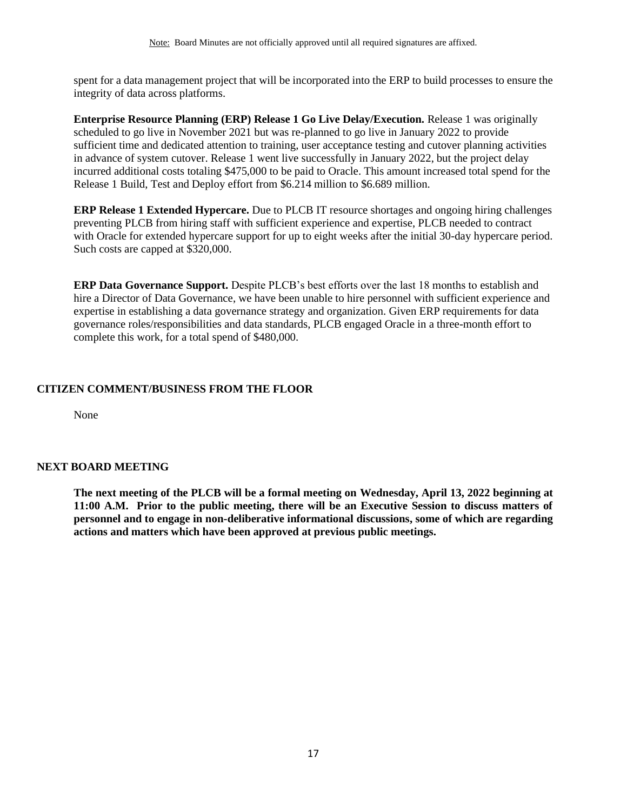spent for a data management project that will be incorporated into the ERP to build processes to ensure the integrity of data across platforms.

**Enterprise Resource Planning (ERP) Release 1 Go Live Delay/Execution.** Release 1 was originally scheduled to go live in November 2021 but was re-planned to go live in January 2022 to provide sufficient time and dedicated attention to training, user acceptance testing and cutover planning activities in advance of system cutover. Release 1 went live successfully in January 2022, but the project delay incurred additional costs totaling \$475,000 to be paid to Oracle. This amount increased total spend for the Release 1 Build, Test and Deploy effort from \$6.214 million to \$6.689 million.

**ERP Release 1 Extended Hypercare.** Due to PLCB IT resource shortages and ongoing hiring challenges preventing PLCB from hiring staff with sufficient experience and expertise, PLCB needed to contract with Oracle for extended hypercare support for up to eight weeks after the initial 30-day hypercare period. Such costs are capped at \$320,000.

**ERP Data Governance Support.** Despite PLCB's best efforts over the last 18 months to establish and hire a Director of Data Governance, we have been unable to hire personnel with sufficient experience and expertise in establishing a data governance strategy and organization. Given ERP requirements for data governance roles/responsibilities and data standards, PLCB engaged Oracle in a three-month effort to complete this work, for a total spend of \$480,000.

## **CITIZEN COMMENT/BUSINESS FROM THE FLOOR**

None

## **NEXT BOARD MEETING**

**The next meeting of the PLCB will be a formal meeting on Wednesday, April 13, 2022 beginning at 11:00 A.M. Prior to the public meeting, there will be an Executive Session to discuss matters of personnel and to engage in non-deliberative informational discussions, some of which are regarding actions and matters which have been approved at previous public meetings.**